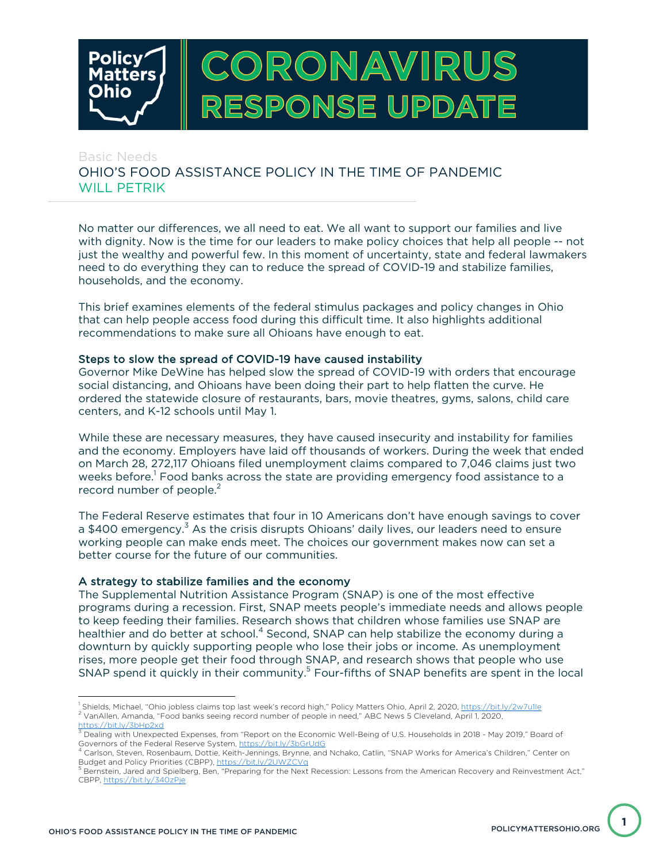

# Basic Needs OHIO'S FOOD ASSISTANCE POLICY IN THE TIME OF PANDEMIC WILL PETRIK

No matter our differences, we all need to eat. We all want to support our families and live with dignity. Now is the time for our leaders to make policy choices that help all people -- not just the wealthy and powerful few. In this moment of uncertainty, state and federal lawmakers need to do everything they can to reduce the spread of COVID-19 and stabilize families, households, and the economy.

This brief examines elements of the federal stimulus packages and policy changes in Ohio that can help people access food during this difficult time. It also highlights additional recommendations to make sure all Ohioans have enough to eat.

## Steps to slow the spread of COVID-19 have caused instability

Governor Mike DeWine has helped slow the spread of COVID-19 with orders that encourage social distancing, and Ohioans have been doing their part to help flatten the curve. He ordered the statewide closure of restaurants, bars, movie theatres, gyms, salons, child care centers, and K-12 schools until May 1.

While these are necessary measures, they have caused insecurity and instability for families and the economy. Employers have laid off thousands of workers. During the week that ended on March 28, 272,117 Ohioans filed unemployment claims compared to 7,046 claims just two weeks before. <sup>1</sup> Food banks across the state are providing emergency food assistance to a record number of people. $2$ 

The Federal Reserve estimates that four in 10 Americans don't have enough savings to cover a \$400 emergency.<sup>3</sup> As the crisis disrupts Ohioans' daily lives, our leaders need to ensure working people can make ends meet. The choices our government makes now can set a better course for the future of our communities.

#### A strategy to stabilize families and the economy

The Supplemental Nutrition Assistance Program (SNAP) is one of the most effective programs during a recession. First, SNAP meets people's immediate needs and allows people to keep feeding their families. Research shows that children whose families use SNAP are healthier and do better at school.<sup>4</sup> Second, SNAP can help stabilize the economy during a downturn by quickly supporting people who lose their jobs or income. As unemployment rises, more people get their food through SNAP, and research shows that people who use SNAP spend it quickly in their community.<sup>5</sup> Four-fifths of SNAP benefits are spent in the local

**1**

<sup>&</sup>lt;sup>1</sup> Shields, Michael, "Ohio jobless claims top last week's record high," Policy Matters Ohio, April 2, 2020, https://bit.ly/2w7u1le 2 VanAllen, Amanda, "Food banks seeing record number of people in need," ABC News 5 Cleveland, April 1, 2020,

https://bit.ly/3bHp2xd <sup>3</sup> Dealing with Unexpected Expenses, from "Report on the Economic Well-Being of U.S. Households in 2018 - May 2019," Board of

Governors of the Federal Reserve System, https://bit.ly/3bGrUdG<br><sup>4</sup> Carlson, Steven, Rosenbaum, Dottie, Keith-Jennings, Brynne, and Nchako, Catlin, "SNAP Works for America's Children," Center on<br>Budget and Policy Prioritie

Bernstein, Jared and Spielberg, Ben, "Preparing for the Next Recession: Lessons from the American Recovery and Reinvestment Act," CBPP, https://bit.ly/340zPje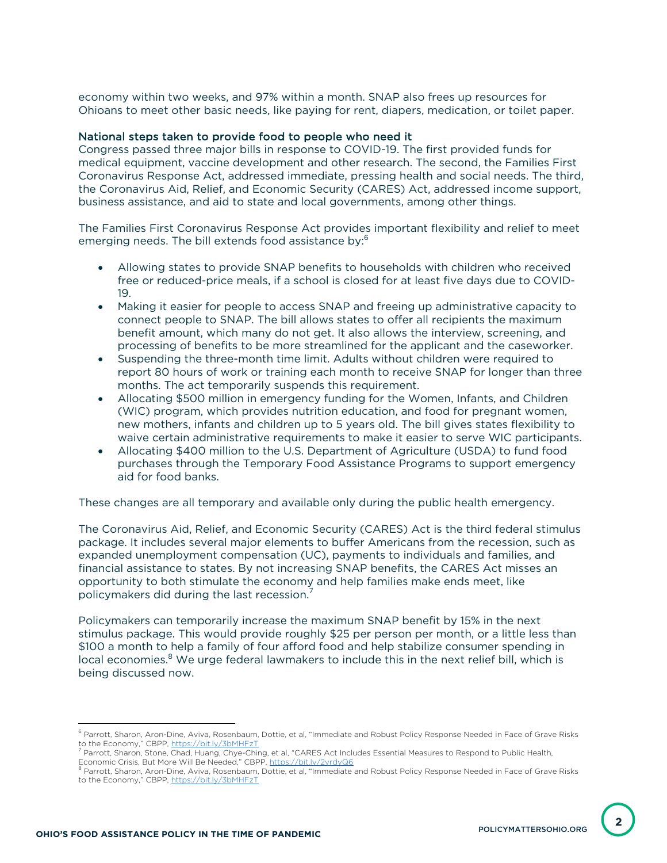economy within two weeks, and 97% within a month. SNAP also frees up resources for Ohioans to meet other basic needs, like paying for rent, diapers, medication, or toilet paper.

#### National steps taken to provide food to people who need it

Congress passed three major bills in response to COVID-19. The first provided funds for medical equipment, vaccine development and other research. The second, the Families First Coronavirus Response Act, addressed immediate, pressing health and social needs. The third, the Coronavirus Aid, Relief, and Economic Security (CARES) Act, addressed income support, business assistance, and aid to state and local governments, among other things.

The Families First Coronavirus Response Act provides important flexibility and relief to meet emerging needs. The bill extends food assistance by:<sup>6</sup>

- Allowing states to provide SNAP benefits to households with children who received free or reduced-price meals, if a school is closed for at least five days due to COVID-19.
- Making it easier for people to access SNAP and freeing up administrative capacity to connect people to SNAP. The bill allows states to offer all recipients the maximum benefit amount, which many do not get. It also allows the interview, screening, and processing of benefits to be more streamlined for the applicant and the caseworker.
- Suspending the three-month time limit. Adults without children were required to report 80 hours of work or training each month to receive SNAP for longer than three months. The act temporarily suspends this requirement.
- Allocating \$500 million in emergency funding for the Women, Infants, and Children (WIC) program, which provides nutrition education, and food for pregnant women, new mothers, infants and children up to 5 years old. The bill gives states flexibility to waive certain administrative requirements to make it easier to serve WIC participants.
- Allocating \$400 million to the U.S. Department of Agriculture (USDA) to fund food purchases through the Temporary Food Assistance Programs to support emergency aid for food banks.

These changes are all temporary and available only during the public health emergency.

The Coronavirus Aid, Relief, and Economic Security (CARES) Act is the third federal stimulus package. It includes several major elements to buffer Americans from the recession, such as expanded unemployment compensation (UC), payments to individuals and families, and financial assistance to states. By not increasing SNAP benefits, the CARES Act misses an opportunity to both stimulate the economy and help families make ends meet, like policymakers did during the last recession. $^7$ 

Policymakers can temporarily increase the maximum SNAP benefit by 15% in the next stimulus package. This would provide roughly \$25 per person per month, or a little less than \$100 a month to help a family of four afford food and help stabilize consumer spending in local economies.<sup>8</sup> We urge federal lawmakers to include this in the next relief bill, which is being discussed now.

<sup>&</sup>lt;sup>6</sup> Parrott, Sharon, Aron-Dine, Aviva, Rosenbaum, Dottie, et al, "Immediate and Robust Policy Response Needed in Face of Grave Risks

to the Economy," CBPP, <u>https://bit.ly/3bMHFzT</u><br><sup>7</sup> Parrott, Sharon, Stone, Chad, Huang, Chye-Ching, et al, "CARES Act Includes Essential Measures to Respond to Public Health,<br>Economic Crisis, But More Will Be Needed," CBP

 $^8$  Parrott, Sharon, Aron-Dine, Aviva, Rosenbaum, Dottie, et al, "Immediate and Robust Policy Response Needed in Face of Grave Risks to the Economy," CBPP, https://bit.ly/3bMHFzT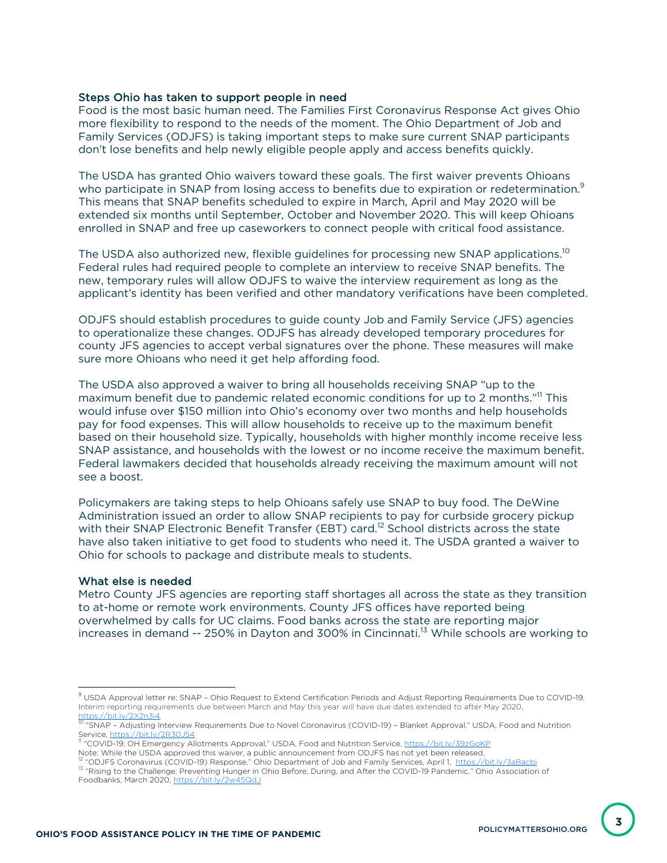## Steps Ohio has taken to support people in need

Food is the most basic human need. The Families First Coronavirus Response Act gives Ohio more flexibility to respond to the needs of the moment. The Ohio Department of Job and Family Services (ODJFS) is taking important steps to make sure current SNAP participants don't lose benefits and help newly eligible people apply and access benefits quickly.

The USDA has granted Ohio waivers toward these goals. The first waiver prevents Ohioans who participate in SNAP from losing access to benefits due to expiration or redetermination.<sup>9</sup> This means that SNAP benefits scheduled to expire in March, April and May 2020 will be extended six months until September, October and November 2020. This will keep Ohioans enrolled in SNAP and free up caseworkers to connect people with critical food assistance.

The USDA also authorized new, flexible guidelines for processing new SNAP applications.<sup>10</sup> Federal rules had required people to complete an interview to receive SNAP benefits. The new, temporary rules will allow ODJFS to waive the interview requirement as long as the applicant's identity has been verified and other mandatory verifications have been completed.

ODJFS should establish procedures to guide county Job and Family Service (JFS) agencies to operationalize these changes. ODJFS has already developed temporary procedures for county JFS agencies to accept verbal signatures over the phone. These measures will make sure more Ohioans who need it get help affording food.

The USDA also approved a waiver to bring all households receiving SNAP "up to the maximum benefit due to pandemic related economic conditions for up to 2 months."<sup>11</sup> This would infuse over \$150 million into Ohio's economy over two months and help households pay for food expenses. This will allow households to receive up to the maximum benefit based on their household size. Typically, households with higher monthly income receive less SNAP assistance, and households with the lowest or no income receive the maximum benefit. Federal lawmakers decided that households already receiving the maximum amount will not see a boost.

Policymakers are taking steps to help Ohioans safely use SNAP to buy food. The DeWine Administration issued an order to allow SNAP recipients to pay for curbside grocery pickup with their SNAP Electronic Benefit Transfer (EBT) card.<sup>12</sup> School districts across the state have also taken initiative to get food to students who need it. The USDA granted a waiver to Ohio for schools to package and distribute meals to students.

#### What else is needed

Metro County JFS agencies are reporting staff shortages all across the state as they transition to at-home or remote work environments. County JFS offices have reported being overwhelmed by calls for UC claims. Food banks across the state are reporting major increases in demand -- 250% in Dayton and 300% in Cincinnati.<sup>13</sup> While schools are working to

Service, https://bit.ly/2R30J54<br><sup>11</sup> "COVID-19; OH Emergency Allotments Approval," USDA, Food and Nutrition Service, https://bit.ly/39zGoKP<br>Note: While the USDA approved this waiver, a public announcement from ODJFS has no

<sup>&</sup>lt;sup>9</sup> USDA Approval letter re: SNAP - Ohio Request to Extend Certification Periods and Adjust Reporting Requirements Due to COVID-19. Interim reporting requirements due between March and May this year will have due dates extended to after May 2020,

<sup>&</sup>lt;u>https://bit.ly/2X2n3j4</u><br><sup>10</sup> "SNAP – Adjusting Interview Requirements Due to Novel Coronavirus (COVID-19) – Blanket Approval," USDA, Food and Nutrition

<sup>&</sup>lt;sup>12</sup> "ODJFS Coronavirus (COVID-19) Response," Ohio Department of Job and Family Services, April 1, https://bit.ly/3aBacbi<br><sup>13</sup> "Rising to the Challenge: Preventing Hunger in Ohio Before, During, and After the COVID-19 Pand Foodbanks, March 2020, https://bit.ly/2w45QdJ